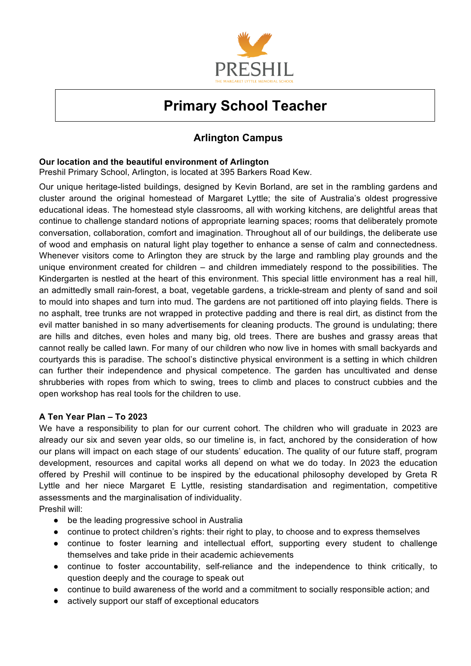

# **Primary School Teacher**

# **Arlington Campus**

# **Our location and the beautiful environment of Arlington**

Preshil Primary School, Arlington, is located at 395 Barkers Road Kew.

Our unique heritage-listed buildings, designed by Kevin Borland, are set in the rambling gardens and cluster around the original homestead of Margaret Lyttle; the site of Australia's oldest progressive educational ideas. The homestead style classrooms, all with working kitchens, are delightful areas that continue to challenge standard notions of appropriate learning spaces; rooms that deliberately promote conversation, collaboration, comfort and imagination. Throughout all of our buildings, the deliberate use of wood and emphasis on natural light play together to enhance a sense of calm and connectedness. Whenever visitors come to Arlington they are struck by the large and rambling play grounds and the unique environment created for children – and children immediately respond to the possibilities. The Kindergarten is nestled at the heart of this environment. This special little environment has a real hill, an admittedly small rain-forest, a boat, vegetable gardens, a trickle-stream and plenty of sand and soil to mould into shapes and turn into mud. The gardens are not partitioned off into playing fields. There is no asphalt, tree trunks are not wrapped in protective padding and there is real dirt, as distinct from the evil matter banished in so many advertisements for cleaning products. The ground is undulating; there are hills and ditches, even holes and many big, old trees. There are bushes and grassy areas that cannot really be called lawn. For many of our children who now live in homes with small backyards and courtyards this is paradise. The school's distinctive physical environment is a setting in which children can further their independence and physical competence. The garden has uncultivated and dense shrubberies with ropes from which to swing, trees to climb and places to construct cubbies and the open workshop has real tools for the children to use.

# **A Ten Year Plan – To 2023**

We have a responsibility to plan for our current cohort. The children who will graduate in 2023 are already our six and seven year olds, so our timeline is, in fact, anchored by the consideration of how our plans will impact on each stage of our students' education. The quality of our future staff, program development, resources and capital works all depend on what we do today. In 2023 the education offered by Preshil will continue to be inspired by the educational philosophy developed by Greta R Lyttle and her niece Margaret E Lyttle, resisting standardisation and regimentation, competitive assessments and the marginalisation of individuality.

Preshil will:

- be the leading progressive school in Australia
- continue to protect children's rights: their right to play, to choose and to express themselves
- continue to foster learning and intellectual effort, supporting every student to challenge themselves and take pride in their academic achievements
- continue to foster accountability, self-reliance and the independence to think critically, to question deeply and the courage to speak out
- continue to build awareness of the world and a commitment to socially responsible action; and
- actively support our staff of exceptional educators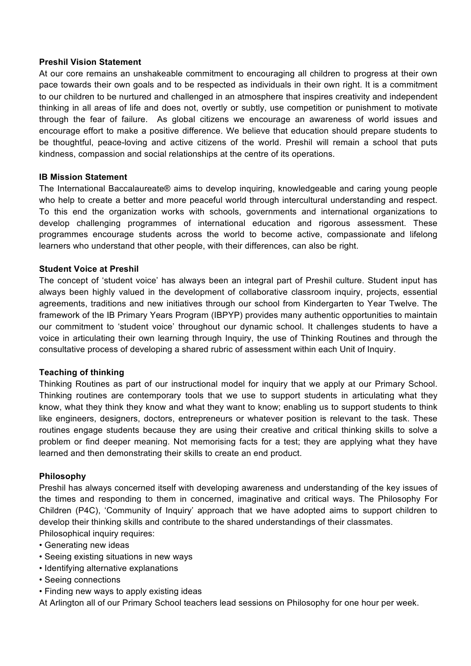# **Preshil Vision Statement**

At our core remains an unshakeable commitment to encouraging all children to progress at their own pace towards their own goals and to be respected as individuals in their own right. It is a commitment to our children to be nurtured and challenged in an atmosphere that inspires creativity and independent thinking in all areas of life and does not, overtly or subtly, use competition or punishment to motivate through the fear of failure. As global citizens we encourage an awareness of world issues and encourage effort to make a positive difference. We believe that education should prepare students to be thoughtful, peace-loving and active citizens of the world. Preshil will remain a school that puts kindness, compassion and social relationships at the centre of its operations.

## **IB Mission Statement**

The International Baccalaureate® aims to develop inquiring, knowledgeable and caring young people who help to create a better and more peaceful world through intercultural understanding and respect. To this end the organization works with schools, governments and international organizations to develop challenging programmes of international education and rigorous assessment. These programmes encourage students across the world to become active, compassionate and lifelong learners who understand that other people, with their differences, can also be right.

#### **Student Voice at Preshil**

The concept of 'student voice' has always been an integral part of Preshil culture. Student input has always been highly valued in the development of collaborative classroom inquiry, projects, essential agreements, traditions and new initiatives through our school from Kindergarten to Year Twelve. The framework of the IB Primary Years Program (IBPYP) provides many authentic opportunities to maintain our commitment to 'student voice' throughout our dynamic school. It challenges students to have a voice in articulating their own learning through Inquiry, the use of Thinking Routines and through the consultative process of developing a shared rubric of assessment within each Unit of Inquiry.

# **Teaching of thinking**

Thinking Routines as part of our instructional model for inquiry that we apply at our Primary School. Thinking routines are contemporary tools that we use to support students in articulating what they know, what they think they know and what they want to know; enabling us to support students to think like engineers, designers, doctors, entrepreneurs or whatever position is relevant to the task. These routines engage students because they are using their creative and critical thinking skills to solve a problem or find deeper meaning. Not memorising facts for a test; they are applying what they have learned and then demonstrating their skills to create an end product.

#### **Philosophy**

Preshil has always concerned itself with developing awareness and understanding of the key issues of the times and responding to them in concerned, imaginative and critical ways. The Philosophy For Children (P4C), 'Community of Inquiry' approach that we have adopted aims to support children to develop their thinking skills and contribute to the shared understandings of their classmates.

Philosophical inquiry requires:

- Generating new ideas
- Seeing existing situations in new ways
- Identifying alternative explanations
- Seeing connections
- Finding new ways to apply existing ideas

At Arlington all of our Primary School teachers lead sessions on Philosophy for one hour per week.